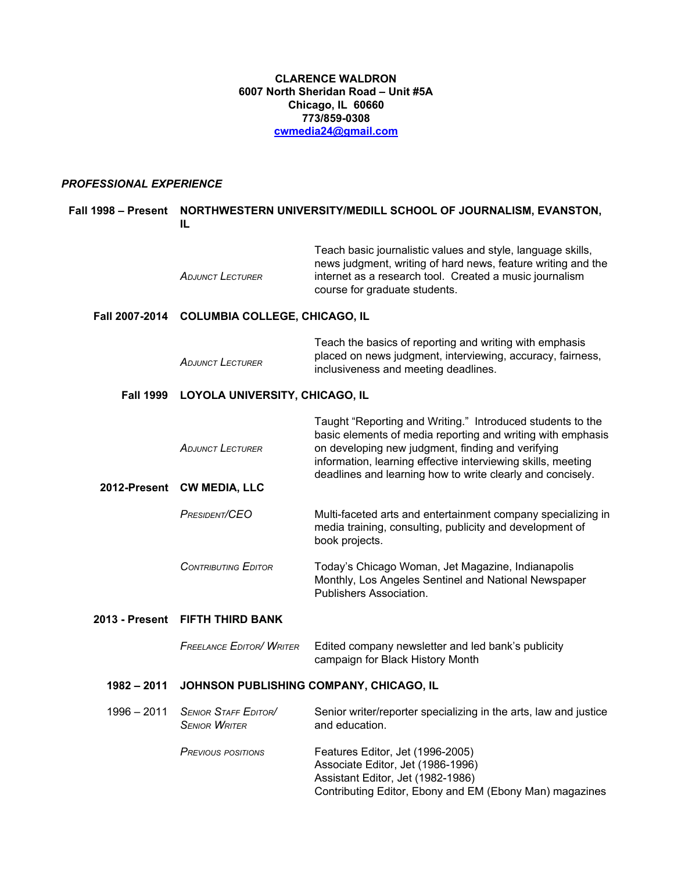## **CLARENCE WALDRON 6007 North Sheridan Road – Unit #5A Chicago, IL 60660 773/859-0308 [cwmedia24@gmail.com](mailto:cwmedia24@gmail.com)**

#### *PROFESSIONAL EXPERIENCE*

# **Fall 1998 – Present NORTHWESTERN UNIVERSITY/MEDILL SCHOOL OF JOURNALISM, EVANSTON, IL** *ADJUNCT LECTURER* Teach basic journalistic values and style, language skills, news judgment, writing of hard news, feature writing and the internet as a research tool. Created a music journalism course for graduate students. **Fall 2007-2014 COLUMBIA COLLEGE, CHICAGO, IL** *ADJUNCT LECTURER* Teach the basics of reporting and writing with emphasis placed on news judgment, interviewing, accuracy, fairness, inclusiveness and meeting deadlines. **Fall 1999 LOYOLA UNIVERSITY, CHICAGO, IL** *ADJUNCT LECTURER* Taught "Reporting and Writing." Introduced students to the basic elements of media reporting and writing with emphasis on developing new judgment, finding and verifying information, learning effective interviewing skills, meeting deadlines and learning how to write clearly and concisely. **2012-Present CW MEDIA, LLC** *PRESIDENT/CEO* Multi-faceted arts and entertainment company specializing in media training, consulting, publicity and development of book projects. *CONTRIBUTING EDITOR* Today's Chicago Woman, Jet Magazine, Indianapolis Monthly, Los Angeles Sentinel and National Newspaper Publishers Association. **2013 - Present FIFTH THIRD BANK** *FREELANCE EDITOR/ WRITER* Edited company newsletter and led bank's publicity campaign for Black History Month **1982 – 2011 JOHNSON PUBLISHING COMPANY, CHICAGO, IL** 1996 – 2011 *SENIOR STAFF EDITOR/ SENIOR WRITER* Senior writer/reporter specializing in the arts, law and justice and education. *PREVIOUS POSITIONS* Features Editor, Jet (1996-2005) Associate Editor, Jet (1986-1996) Assistant Editor, Jet (1982-1986)

Contributing Editor, Ebony and EM (Ebony Man) magazines